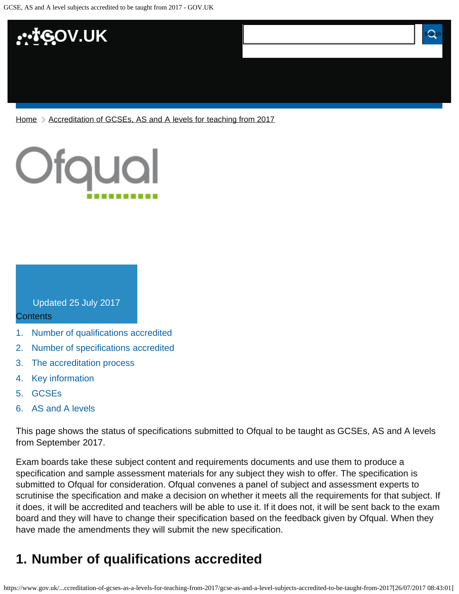

[Home](https://www.gov.uk/) > [Accreditation of GCSEs, AS and A levels for teaching from 2017](https://www.gov.uk/government/publications/accreditation-of-gcses-as-a-levels-for-teaching-from-2017)



Updated 25 July 2017

#### **Contents**

[1.](#page-0-0) [Number of qualifications accredited](#page-0-0)

**taught from 2017**

- [2.](#page-1-0) [Number of specifications accredited](#page-1-0)
- [3.](#page-1-1) [The accreditation process](#page-1-1)
- [4.](#page-1-2) [Key information](#page-1-2)
- [5.](#page-2-0) [GCSEs](#page-2-0)
- [6.](#page-3-0) [AS and A levels](#page-3-0)

This page shows the status of specifications submitted to Ofqual to be taught as GCSEs, AS and A levels from September 2017.

 $G_{\rm{max}}$  and  $G_{\rm{max}}$  and  $G_{\rm{max}}$  and  $G_{\rm{max}}$  accredited to been accredited to be

Exam boards take these subject content and requirements documents and use them to produce a specification and sample assessment materials for any subject they wish to offer. The specification is submitted to Ofqual for consideration. Ofqual convenes a panel of subject and assessment experts to scrutinise the specification and make a decision on whether it meets all the requirements for that subject. If it does, it will be accredited and teachers will be able to use it. If it does not, it will be sent back to the exam board and they will have to change their specification based on the feedback given by Ofqual. When they have made the amendments they will submit the new specification.

## <span id="page-0-0"></span>**1. Number of qualifications accredited**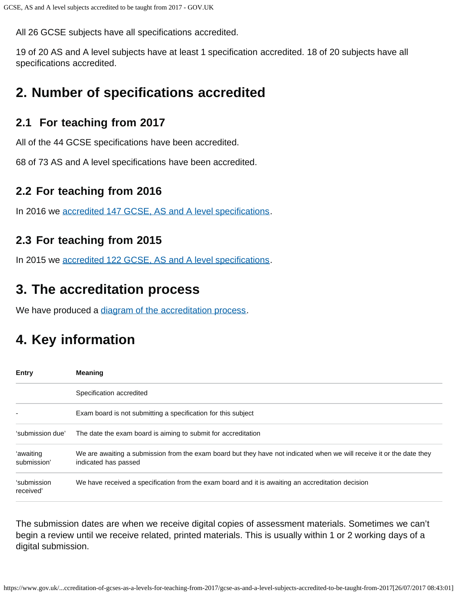All 26 GCSE subjects have all specifications accredited.

19 of 20 AS and A level subjects have at least 1 specification accredited. 18 of 20 subjects have all specifications accredited.

# <span id="page-1-0"></span>**2. Number of specifications accredited**

### **2.1 For teaching from 2017**

All of the 44 GCSE specifications have been accredited.

68 of 73 AS and A level specifications have been accredited.

### **2.2 For teaching from 2016**

In 2016 we [accredited 147 GCSE, AS and A level specifications.](https://www.gov.uk/government/publications/accreditation-of-gcses-as-a-levels-for-teaching-from-2016)

### **2.3 For teaching from 2015**

In 2015 we [accredited 122 GCSE, AS and A level specifications.](https://www.gov.uk/government/publications/new-gcses-as-and-a-levels-accredited-to-be-taught-from-2015)

# <span id="page-1-1"></span>**3. The accreditation process**

We have produced a [diagram of the accreditation process.](https://www.gov.uk/government/publications/your-qualification-our-regulation-gcse-as-and-a-level-reforms#attachment_1634078)

# <span id="page-1-2"></span>**4. Key information**

| <b>Entry</b>             | <b>Meaning</b>                                                                                                                                |
|--------------------------|-----------------------------------------------------------------------------------------------------------------------------------------------|
|                          | Specification accredited                                                                                                                      |
|                          | Exam board is not submitting a specification for this subject                                                                                 |
| 'submission due'         | The date the exam board is aiming to submit for accreditation                                                                                 |
| 'awaiting<br>submission' | We are awaiting a submission from the exam board but they have not indicated when we will receive it or the date they<br>indicated has passed |
| 'submission<br>received' | We have received a specification from the exam board and it is awaiting an accreditation decision                                             |

The submission dates are when we receive digital copies of assessment materials. Sometimes we can't begin a review until we receive related, printed materials. This is usually within 1 or 2 working days of a digital submission.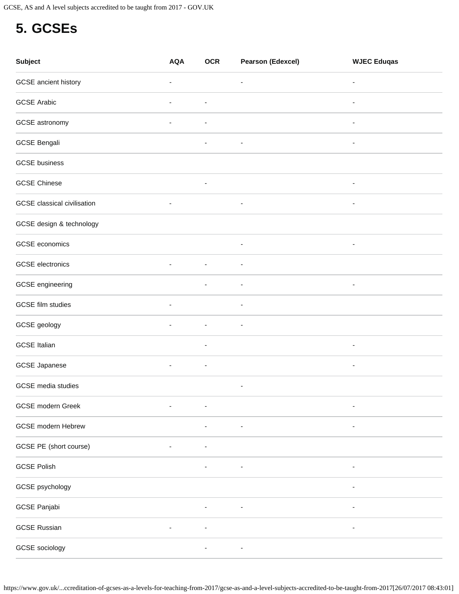## <span id="page-2-0"></span>**5. GCSEs**

| <b>Subject</b>                     | <b>AQA</b>               | <b>OCR</b>               | <b>Pearson (Edexcel)</b> | <b>WJEC Eduqas</b>       |
|------------------------------------|--------------------------|--------------------------|--------------------------|--------------------------|
| GCSE ancient history               | $\overline{\phantom{a}}$ |                          | $\overline{\phantom{a}}$ | $\overline{\phantom{a}}$ |
| <b>GCSE Arabic</b>                 | $\overline{\phantom{a}}$ | $\overline{\phantom{a}}$ |                          | $\overline{\phantom{a}}$ |
| GCSE astronomy                     | $\overline{\phantom{a}}$ | $\overline{\phantom{a}}$ |                          | $\overline{\phantom{a}}$ |
| <b>GCSE Bengali</b>                |                          |                          |                          |                          |
| <b>GCSE</b> business               |                          |                          |                          |                          |
| <b>GCSE Chinese</b>                |                          | ۰                        |                          | $\overline{\phantom{a}}$ |
| <b>GCSE</b> classical civilisation | $\overline{\phantom{a}}$ |                          |                          | $\overline{\phantom{a}}$ |
| GCSE design & technology           |                          |                          |                          |                          |
| GCSE economics                     |                          |                          | $\overline{\phantom{a}}$ | $\overline{\phantom{a}}$ |
| <b>GCSE</b> electronics            | $\overline{a}$           | ٠                        | $\overline{\phantom{a}}$ |                          |
| GCSE engineering                   |                          | $\overline{\phantom{a}}$ | $\overline{\phantom{a}}$ | $\overline{\phantom{a}}$ |
| <b>GCSE</b> film studies           | $\overline{\phantom{a}}$ |                          |                          |                          |
| GCSE geology                       | $\overline{\phantom{a}}$ | $\overline{\phantom{a}}$ | $\overline{\phantom{a}}$ |                          |
| <b>GCSE Italian</b>                |                          | $\overline{\phantom{a}}$ |                          |                          |
| <b>GCSE Japanese</b>               | $\overline{\phantom{a}}$ | $\overline{\phantom{a}}$ |                          | $\overline{\phantom{a}}$ |
| GCSE media studies                 |                          |                          | $\overline{\phantom{0}}$ |                          |
| GCSE modern Greek                  | $\overline{\phantom{a}}$ | ٠                        |                          | ۰                        |
| <b>GCSE</b> modern Hebrew          |                          |                          |                          |                          |
| GCSE PE (short course)             |                          |                          |                          |                          |
| <b>GCSE Polish</b>                 |                          |                          |                          |                          |
| GCSE psychology                    |                          |                          |                          | $\overline{\phantom{a}}$ |
| GCSE Panjabi                       |                          |                          |                          |                          |
| <b>GCSE Russian</b>                |                          | $\overline{a}$           |                          |                          |
| GCSE sociology                     |                          |                          |                          |                          |

https://www.gov.uk/...ccreditation-of-gcses-as-a-levels-for-teaching-from-2017/gcse-as-and-a-level-subjects-accredited-to-be-taught-from-2017[26/07/2017 08:43:01]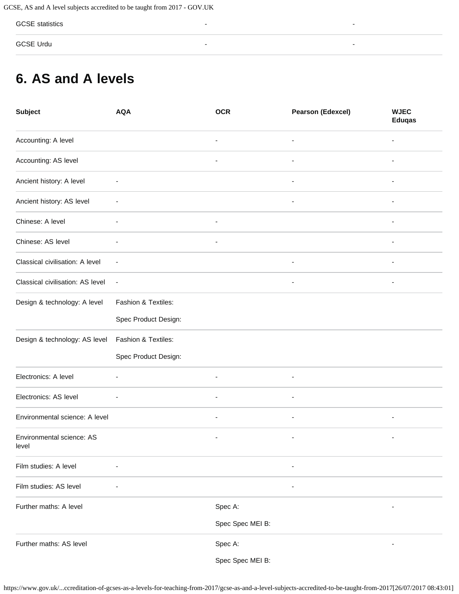GCSE statistics - -

GCSE Urdu - -

## <span id="page-3-0"></span>**6. AS and A levels**

| <b>Subject</b>                     | <b>AQA</b>               | <b>OCR</b>               | <b>Pearson (Edexcel)</b> | <b>WJEC</b><br><b>Eduqas</b> |
|------------------------------------|--------------------------|--------------------------|--------------------------|------------------------------|
| Accounting: A level                |                          |                          |                          |                              |
| Accounting: AS level               |                          | $\overline{\phantom{a}}$ | ۰                        |                              |
| Ancient history: A level           |                          |                          |                          |                              |
| Ancient history: AS level          |                          |                          | ٠                        |                              |
| Chinese: A level                   |                          | $\overline{\phantom{a}}$ |                          |                              |
| Chinese: AS level                  |                          | $\overline{\phantom{a}}$ |                          | $\overline{a}$               |
| Classical civilisation: A level    |                          |                          |                          |                              |
| Classical civilisation: AS level   | $\overline{\phantom{a}}$ |                          | $\overline{\phantom{a}}$ | $\qquad \qquad \blacksquare$ |
| Design & technology: A level       | Fashion & Textiles:      |                          |                          |                              |
|                                    | Spec Product Design:     |                          |                          |                              |
| Design & technology: AS level      | Fashion & Textiles:      |                          |                          |                              |
|                                    | Spec Product Design:     |                          |                          |                              |
| Electronics: A level               | ٠                        | $\overline{\phantom{a}}$ | $\overline{\phantom{a}}$ |                              |
| Electronics: AS level              |                          |                          |                          |                              |
| Environmental science: A level     |                          | $\overline{a}$           | -                        | ۰                            |
| Environmental science: AS<br>level |                          |                          |                          |                              |
| Film studies: A level              |                          |                          |                          |                              |
| Film studies: AS level             |                          |                          |                          |                              |
| Further maths: A level             |                          | Spec A:                  |                          |                              |
|                                    |                          | Spec Spec MEI B:         |                          |                              |
| Further maths: AS level            |                          | Spec A:                  |                          |                              |
|                                    |                          | Spec Spec MEI B:         |                          |                              |

https://www.gov.uk/...ccreditation-of-gcses-as-a-levels-for-teaching-from-2017/gcse-as-and-a-level-subjects-accredited-to-be-taught-from-2017[26/07/2017 08:43:01]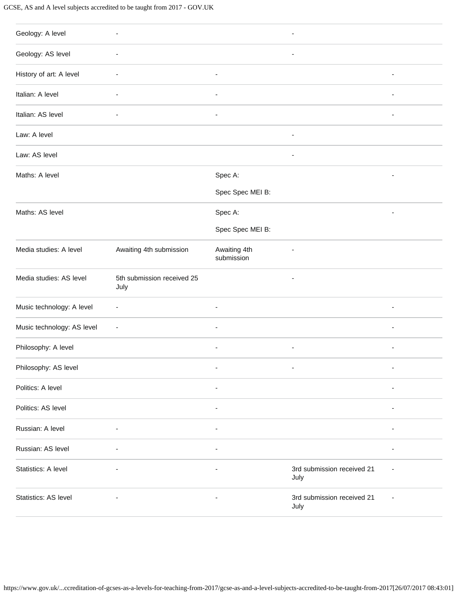#### GCSE, AS and A level subjects accredited to be taught from 2017 - GOV.UK

| Geology: A level           | $\overline{\phantom{a}}$           |                            | $\overline{\phantom{a}}$           |                          |
|----------------------------|------------------------------------|----------------------------|------------------------------------|--------------------------|
| Geology: AS level          |                                    |                            |                                    |                          |
| History of art: A level    | $\overline{a}$                     | $\overline{\phantom{a}}$   |                                    | ÷,                       |
| Italian: A level           | $\overline{\phantom{a}}$           | $\overline{\phantom{a}}$   |                                    | ä,                       |
| Italian: AS level          | $\overline{\phantom{a}}$           | $\overline{\phantom{a}}$   |                                    | $\overline{\phantom{a}}$ |
| Law: A level               |                                    |                            | ٠                                  |                          |
| Law: AS level              |                                    |                            | $\overline{a}$                     |                          |
| Maths: A level             |                                    | Spec A:                    |                                    | Ē,                       |
|                            |                                    | Spec Spec MEI B:           |                                    |                          |
| Maths: AS level            |                                    | Spec A:                    |                                    | ٠                        |
|                            |                                    | Spec Spec MEI B:           |                                    |                          |
| Media studies: A level     | Awaiting 4th submission            | Awaiting 4th<br>submission | ÷,                                 |                          |
| Media studies: AS level    | 5th submission received 25<br>July |                            | $\overline{\phantom{a}}$           |                          |
| Music technology: A level  | $\overline{\phantom{a}}$           | ÷,                         |                                    | ٠                        |
| Music technology: AS level | $\overline{\phantom{a}}$           | ÷,                         |                                    | ÷,                       |
| Philosophy: A level        |                                    | ٠                          | $\overline{\phantom{a}}$           | ٠                        |
| Philosophy: AS level       |                                    |                            |                                    |                          |
| Politics: A level          |                                    | $\overline{\phantom{a}}$   |                                    | ٠                        |
| Politics: AS level         |                                    | $\overline{\phantom{a}}$   |                                    | $\overline{\phantom{a}}$ |
| Russian: A level           |                                    | ä,                         |                                    |                          |
| Russian: AS level          | $\overline{a}$                     | $\overline{\phantom{a}}$   |                                    | ä,                       |
| Statistics: A level        | $\overline{\phantom{a}}$           | $\overline{\phantom{a}}$   | 3rd submission received 21<br>July |                          |
| Statistics: AS level       | $\overline{\phantom{a}}$           | $\overline{\phantom{a}}$   | 3rd submission received 21<br>July |                          |
|                            |                                    |                            |                                    |                          |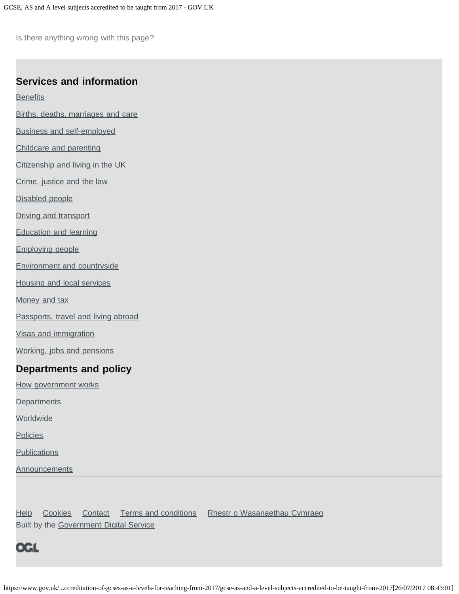Is there anything wrong with this page?

#### **Services and information**

**[Benefits](https://www.gov.uk/browse/benefits)** 

- [Births, deaths, marriages and care](https://www.gov.uk/browse/births-deaths-marriages)
- [Business and self-employed](https://www.gov.uk/browse/business)
- [Childcare and parenting](https://www.gov.uk/browse/childcare-parenting)
- [Citizenship and living in the UK](https://www.gov.uk/browse/citizenship)
- [Crime, justice and the law](https://www.gov.uk/browse/justice)
- [Disabled people](https://www.gov.uk/browse/disabilities)
- [Driving and transport](https://www.gov.uk/browse/driving)
- [Education and learning](https://www.gov.uk/browse/education)
- [Employing people](https://www.gov.uk/browse/employing-people)
- [Environment and countryside](https://www.gov.uk/browse/environment-countryside)
- [Housing and local services](https://www.gov.uk/browse/housing-local-services)
- [Money and tax](https://www.gov.uk/browse/tax)
- [Passports, travel and living abroad](https://www.gov.uk/browse/abroad)
- [Visas and immigration](https://www.gov.uk/browse/visas-immigration)
- [Working, jobs and pensions](https://www.gov.uk/browse/working)

#### **Departments and policy**

- [How government works](https://www.gov.uk/government/how-government-works)
- **[Departments](https://www.gov.uk/government/organisations)**
- **[Worldwide](https://www.gov.uk/government/world)**
- **[Policies](https://www.gov.uk/government/policies)**
- **[Publications](https://www.gov.uk/government/publications)**
- **[Announcements](https://www.gov.uk/government/announcements)**

[Help](https://www.gov.uk/help) [Cookies](https://www.gov.uk/help/cookies) [Contact](https://www.gov.uk/contact) [Terms and conditions](https://www.gov.uk/help/terms-conditions) [Rhestr o Wasanaethau Cymraeg](https://www.gov.uk/cymraeg) Built by the [Government Digital Service](https://www.gov.uk/government/organisations/government-digital-service)